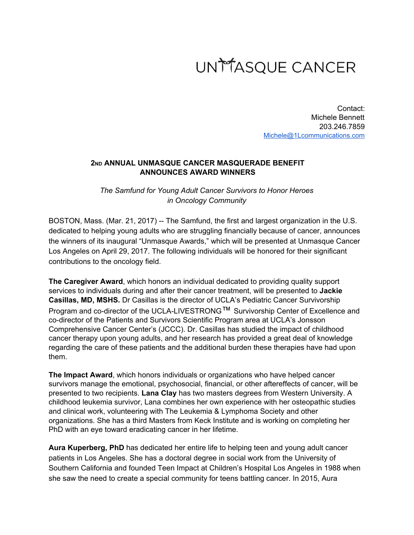

Contact: Michele Bennett 203.246.7859 [Michele@1Lcommunications.com](mailto:Michele@1Lcommunications.com)

## **2ND ANNUAL UNMASQUE CANCER MASQUERADE BENEFIT ANNOUNCES AWARD WINNERS**

*The Samfund for Young Adult Cancer Survivors to Honor Heroes in Oncology Community*

BOSTON, Mass. (Mar. 21, 2017) -- The Samfund, the first and largest organization in the U.S. dedicated to helping young adults who are struggling financially because of cancer, announces the winners of its inaugural "Unmasque Awards," which will be presented at Unmasque Cancer Los Angeles on April 29, 2017. The following individuals will be honored for their significant contributions to the oncology field.

**The Caregiver Award**, which honors an individual dedicated to providing quality support services to individuals during and after their cancer treatment, will be presented to **Jackie Casillas, MD, MSHS.** Dr Casillas is the director of UCLA's Pediatric Cancer Survivorship Program and co-director of the UCLA-LIVESTRONG™ Survivorship Center of Excellence and co-director of the Patients and Survivors Scientific Program area at UCLA's Jonsson Comprehensive Cancer Center's (JCCC). Dr. Casillas has studied the impact of childhood cancer therapy upon young adults, and her research has provided a great deal of knowledge regarding the care of these patients and the additional burden these therapies have had upon them.

**The Impact Award**, which honors individuals or organizations who have helped cancer survivors manage the emotional, psychosocial, financial, or other aftereffects of cancer, will be presented to two recipients. **Lana Clay** has two masters degrees from Western University. A childhood leukemia survivor, Lana combines her own experience with her osteopathic studies and clinical work, volunteering with The Leukemia & Lymphoma Society and other organizations. She has a third Masters from Keck Institute and is working on completing her PhD with an eye toward eradicating cancer in her lifetime.

**Aura Kuperberg, PhD** has dedicated her entire life to helping teen and young adult cancer patients in Los Angeles. She has a doctoral degree in social work from the University of Southern California and founded Teen Impact at Children's Hospital Los Angeles in 1988 when she saw the need to create a special community for teens battling cancer. In 2015, Aura